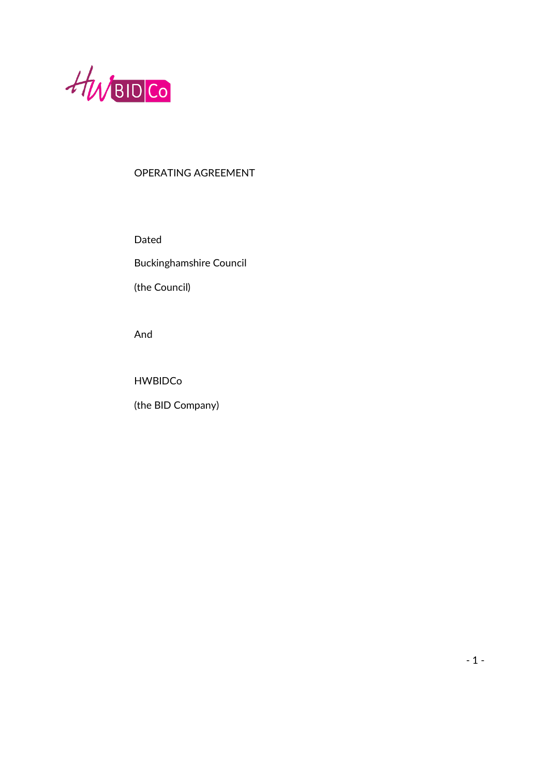

# OPERATING AGREEMENT

Dated

Buckinghamshire Council

(the Council)

And

HWBIDCo

(the BID Company)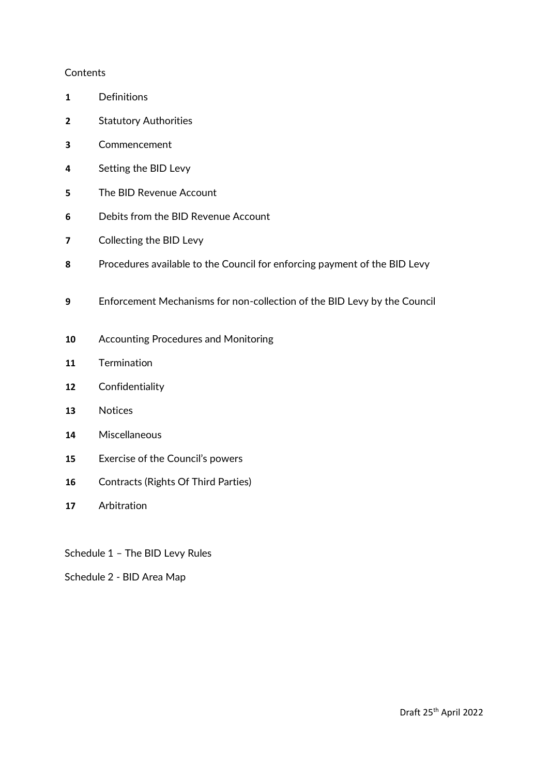#### **Contents**

- Definitions
- Statutory Authorities
- Commencement
- Setting the BID Levy
- The BID Revenue Account
- Debits from the BID Revenue Account
- Collecting the BID Levy
- Procedures available to the Council for enforcing payment of the BID Levy
- Enforcement Mechanisms for non-collection of the BID Levy by the Council
- Accounting Procedures and Monitoring
- Termination
- Confidentiality
- Notices
- Miscellaneous
- Exercise of the Council's powers
- Contracts (Rights Of Third Parties)
- Arbitration
- Schedule 1 The BID Levy Rules
- Schedule 2 BID Area Map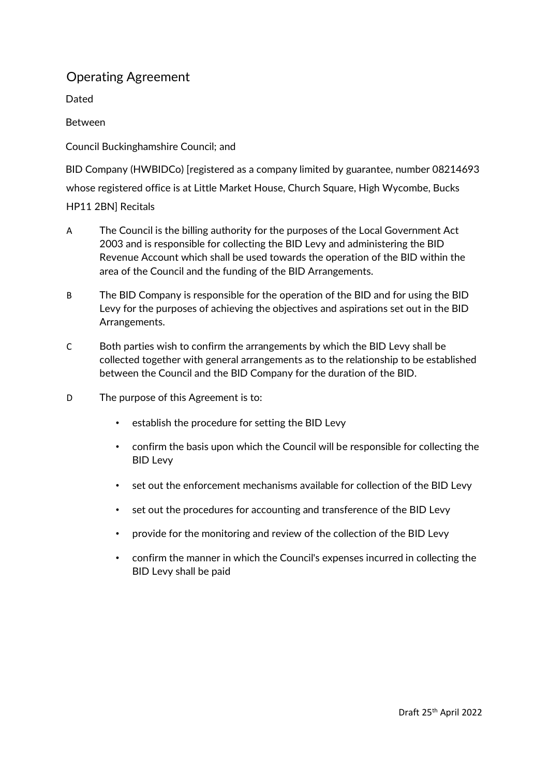# Operating Agreement

Dated

Between

Council Buckinghamshire Council; and

BID Company (HWBIDCo) [registered as a company limited by guarantee, number 08214693 whose registered office is at Little Market House, Church Square, High Wycombe, Bucks HP11 2BN] Recitals

- A The Council is the billing authority for the purposes of the Local Government Act 2003 and is responsible for collecting the BID Levy and administering the BID Revenue Account which shall be used towards the operation of the BID within the area of the Council and the funding of the BID Arrangements.
- B The BID Company is responsible for the operation of the BID and for using the BID Levy for the purposes of achieving the objectives and aspirations set out in the BID Arrangements.
- C Both parties wish to confirm the arrangements by which the BID Levy shall be collected together with general arrangements as to the relationship to be established between the Council and the BID Company for the duration of the BID.
- D The purpose of this Agreement is to:
	- establish the procedure for setting the BID Levy
	- confirm the basis upon which the Council will be responsible for collecting the BID Levy
	- set out the enforcement mechanisms available for collection of the BID Levy
	- set out the procedures for accounting and transference of the BID Levy
	- provide for the monitoring and review of the collection of the BID Levy
	- confirm the manner in which the Council's expenses incurred in collecting the BID Levy shall be paid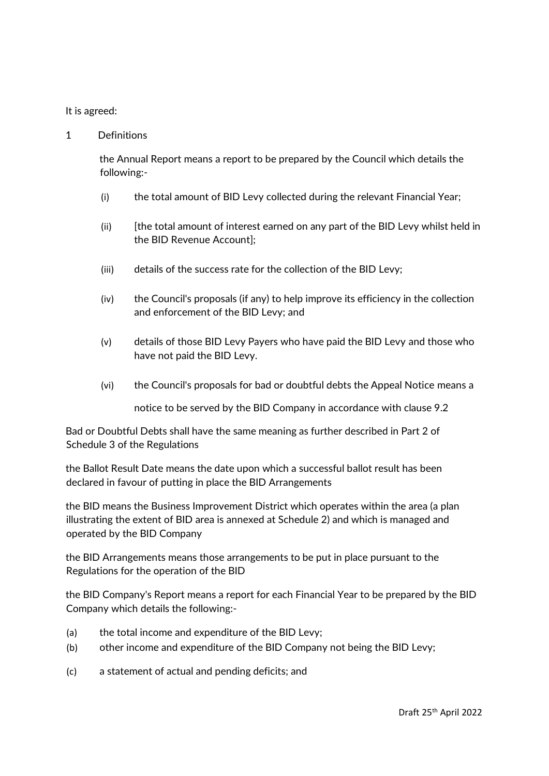## It is agreed:

1 Definitions

the Annual Report means a report to be prepared by the Council which details the following:-

- (i) the total amount of BID Levy collected during the relevant Financial Year;
- (ii) [the total amount of interest earned on any part of the BID Levy whilst held in the BID Revenue Account];
- (iii) details of the success rate for the collection of the BID Levy;
- (iv) the Council's proposals (if any) to help improve its efficiency in the collection and enforcement of the BID Levy; and
- (v) details of those BID Levy Payers who have paid the BID Levy and those who have not paid the BID Levy.
- (vi) the Council's proposals for bad or doubtful debts the Appeal Notice means a

notice to be served by the BID Company in accordance with clause 9.2

Bad or Doubtful Debts shall have the same meaning as further described in Part 2 of Schedule 3 of the Regulations

the Ballot Result Date means the date upon which a successful ballot result has been declared in favour of putting in place the BID Arrangements

the BID means the Business Improvement District which operates within the area (a plan illustrating the extent of BID area is annexed at Schedule 2) and which is managed and operated by the BID Company

the BID Arrangements means those arrangements to be put in place pursuant to the Regulations for the operation of the BID

the BID Company's Report means a report for each Financial Year to be prepared by the BID Company which details the following:-

- (a) the total income and expenditure of the BID Levy;
- (b) other income and expenditure of the BID Company not being the BID Levy;
- (c) a statement of actual and pending deficits; and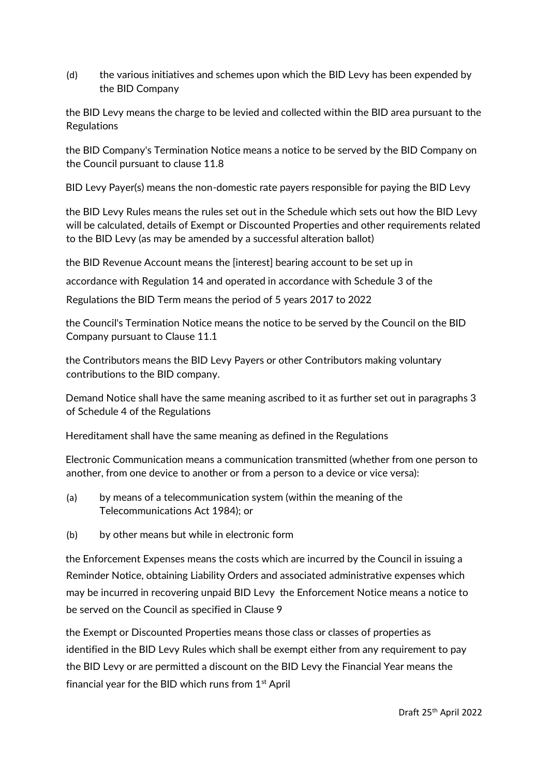(d) the various initiatives and schemes upon which the BID Levy has been expended by the BID Company

the BID Levy means the charge to be levied and collected within the BID area pursuant to the Regulations

the BID Company's Termination Notice means a notice to be served by the BID Company on the Council pursuant to clause 11.8

BID Levy Payer(s) means the non-domestic rate payers responsible for paying the BID Levy

the BID Levy Rules means the rules set out in the Schedule which sets out how the BID Levy will be calculated, details of Exempt or Discounted Properties and other requirements related to the BID Levy (as may be amended by a successful alteration ballot)

the BID Revenue Account means the [interest] bearing account to be set up in

accordance with Regulation 14 and operated in accordance with Schedule 3 of the

Regulations the BID Term means the period of 5 years 2017 to 2022

the Council's Termination Notice means the notice to be served by the Council on the BID Company pursuant to Clause 11.1

the Contributors means the BID Levy Payers or other Contributors making voluntary contributions to the BID company.

Demand Notice shall have the same meaning ascribed to it as further set out in paragraphs 3 of Schedule 4 of the Regulations

Hereditament shall have the same meaning as defined in the Regulations

Electronic Communication means a communication transmitted (whether from one person to another, from one device to another or from a person to a device or vice versa):

- (a) by means of a telecommunication system (within the meaning of the Telecommunications Act 1984); or
- (b) by other means but while in electronic form

the Enforcement Expenses means the costs which are incurred by the Council in issuing a Reminder Notice, obtaining Liability Orders and associated administrative expenses which may be incurred in recovering unpaid BID Levy the Enforcement Notice means a notice to be served on the Council as specified in Clause 9

the Exempt or Discounted Properties means those class or classes of properties as identified in the BID Levy Rules which shall be exempt either from any requirement to pay the BID Levy or are permitted a discount on the BID Levy the Financial Year means the financial year for the BID which runs from  $1<sup>st</sup>$  April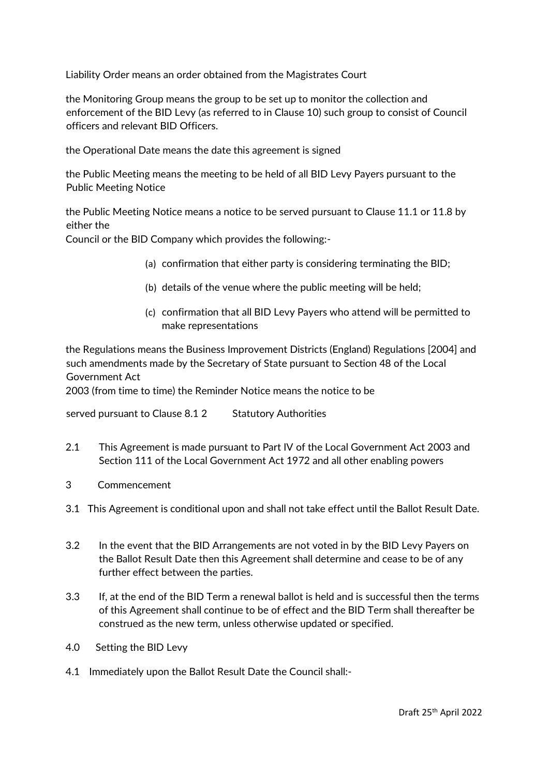Liability Order means an order obtained from the Magistrates Court

the Monitoring Group means the group to be set up to monitor the collection and enforcement of the BID Levy (as referred to in Clause 10) such group to consist of Council officers and relevant BID Officers.

the Operational Date means the date this agreement is signed

the Public Meeting means the meeting to be held of all BID Levy Payers pursuant to the Public Meeting Notice

the Public Meeting Notice means a notice to be served pursuant to Clause 11.1 or 11.8 by either the

Council or the BID Company which provides the following:-

- (a) confirmation that either party is considering terminating the BID;
- (b) details of the venue where the public meeting will be held;
- (c) confirmation that all BID Levy Payers who attend will be permitted to make representations

the Regulations means the Business Improvement Districts (England) Regulations [2004] and such amendments made by the Secretary of State pursuant to Section 48 of the Local Government Act

2003 (from time to time) the Reminder Notice means the notice to be

served pursuant to Clause 8.1 2 Statutory Authorities

- 2.1 This Agreement is made pursuant to Part IV of the Local Government Act 2003 and Section 111 of the Local Government Act 1972 and all other enabling powers
- 3 Commencement
- 3.1 This Agreement is conditional upon and shall not take effect until the Ballot Result Date.
- 3.2 In the event that the BID Arrangements are not voted in by the BID Levy Payers on the Ballot Result Date then this Agreement shall determine and cease to be of any further effect between the parties.
- 3.3 If, at the end of the BID Term a renewal ballot is held and is successful then the terms of this Agreement shall continue to be of effect and the BID Term shall thereafter be construed as the new term, unless otherwise updated or specified.
- 4.0 Setting the BID Levy
- 4.1 Immediately upon the Ballot Result Date the Council shall:-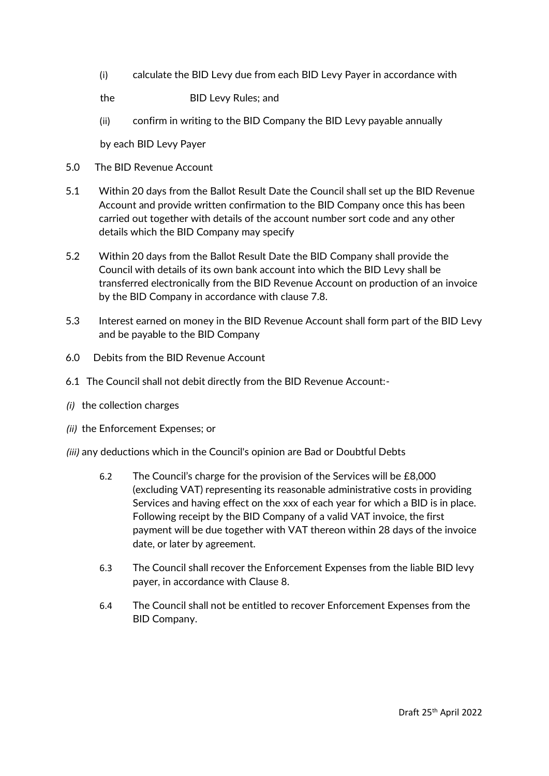(i) calculate the BID Levy due from each BID Levy Payer in accordance with

the BID Levy Rules; and

(ii) confirm in writing to the BID Company the BID Levy payable annually

by each BID Levy Payer

- 5.0 The BID Revenue Account
- 5.1 Within 20 days from the Ballot Result Date the Council shall set up the BID Revenue Account and provide written confirmation to the BID Company once this has been carried out together with details of the account number sort code and any other details which the BID Company may specify
- 5.2 Within 20 days from the Ballot Result Date the BID Company shall provide the Council with details of its own bank account into which the BID Levy shall be transferred electronically from the BID Revenue Account on production of an invoice by the BID Company in accordance with clause 7.8.
- 5.3 Interest earned on money in the BID Revenue Account shall form part of the BID Levy and be payable to the BID Company
- 6.0 Debits from the BID Revenue Account
- 6.1 The Council shall not debit directly from the BID Revenue Account:-
- *(i)* the collection charges
- *(ii)* the Enforcement Expenses; or

*(iii)* any deductions which in the Council's opinion are Bad or Doubtful Debts

- 6.2 The Council's charge for the provision of the Services will be £8,000 (excluding VAT) representing its reasonable administrative costs in providing Services and having effect on the xxx of each year for which a BID is in place. Following receipt by the BID Company of a valid VAT invoice, the first payment will be due together with VAT thereon within 28 days of the invoice date, or later by agreement.
- 6.3 The Council shall recover the Enforcement Expenses from the liable BID levy payer, in accordance with Clause 8.
- 6.4 The Council shall not be entitled to recover Enforcement Expenses from the BID Company.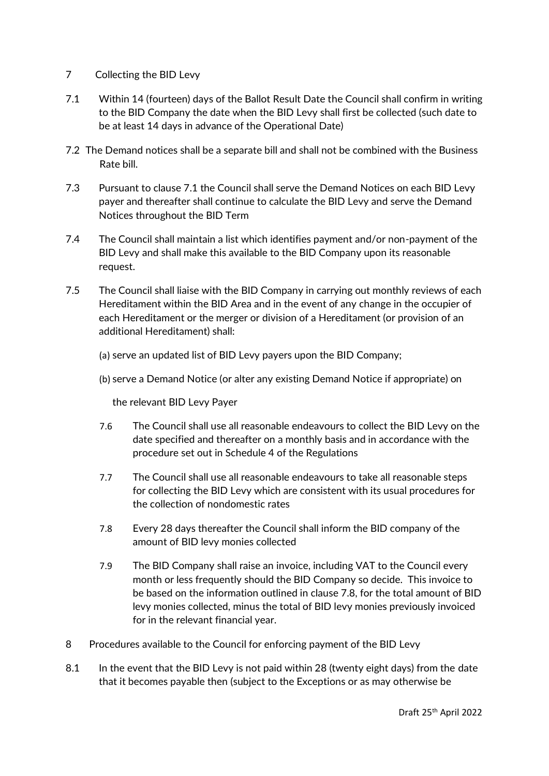## 7 Collecting the BID Levy

- 7.1 Within 14 (fourteen) days of the Ballot Result Date the Council shall confirm in writing to the BID Company the date when the BID Levy shall first be collected (such date to be at least 14 days in advance of the Operational Date)
- 7.2 The Demand notices shall be a separate bill and shall not be combined with the Business Rate bill.
- 7.3 Pursuant to clause 7.1 the Council shall serve the Demand Notices on each BID Levy payer and thereafter shall continue to calculate the BID Levy and serve the Demand Notices throughout the BID Term
- 7.4 The Council shall maintain a list which identifies payment and/or non-payment of the BID Levy and shall make this available to the BID Company upon its reasonable request.
- 7.5 The Council shall liaise with the BID Company in carrying out monthly reviews of each Hereditament within the BID Area and in the event of any change in the occupier of each Hereditament or the merger or division of a Hereditament (or provision of an additional Hereditament) shall:

## (a) serve an updated list of BID Levy payers upon the BID Company;

(b) serve a Demand Notice (or alter any existing Demand Notice if appropriate) on

the relevant BID Levy Payer

- 7.6 The Council shall use all reasonable endeavours to collect the BID Levy on the date specified and thereafter on a monthly basis and in accordance with the procedure set out in Schedule 4 of the Regulations
- 7.7 The Council shall use all reasonable endeavours to take all reasonable steps for collecting the BID Levy which are consistent with its usual procedures for the collection of nondomestic rates
- 7.8 Every 28 days thereafter the Council shall inform the BID company of the amount of BID levy monies collected
- 7.9 The BID Company shall raise an invoice, including VAT to the Council every month or less frequently should the BID Company so decide. This invoice to be based on the information outlined in clause 7.8, for the total amount of BID levy monies collected, minus the total of BID levy monies previously invoiced for in the relevant financial year.
- 8 Procedures available to the Council for enforcing payment of the BID Levy
- 8.1 In the event that the BID Levy is not paid within 28 (twenty eight days) from the date that it becomes payable then (subject to the Exceptions or as may otherwise be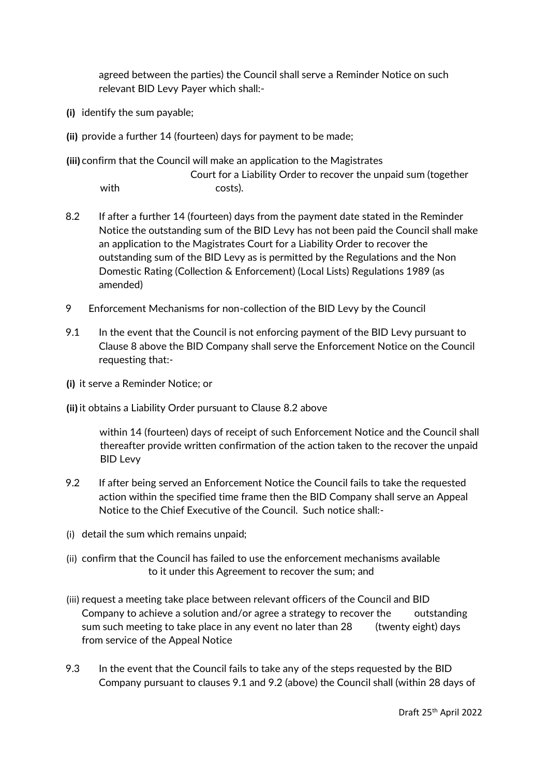agreed between the parties) the Council shall serve a Reminder Notice on such relevant BID Levy Payer which shall:-

- **(i)** identify the sum payable;
- **(ii)** provide a further 14 (fourteen) days for payment to be made;
- **(iii)** confirm that the Council will make an application to the Magistrates

 Court for a Liability Order to recover the unpaid sum (together with costs).

- 8.2 If after a further 14 (fourteen) days from the payment date stated in the Reminder Notice the outstanding sum of the BID Levy has not been paid the Council shall make an application to the Magistrates Court for a Liability Order to recover the outstanding sum of the BID Levy as is permitted by the Regulations and the Non Domestic Rating (Collection & Enforcement) (Local Lists) Regulations 1989 (as amended)
- 9 Enforcement Mechanisms for non-collection of the BID Levy by the Council
- 9.1 In the event that the Council is not enforcing payment of the BID Levy pursuant to Clause 8 above the BID Company shall serve the Enforcement Notice on the Council requesting that:-
- **(i)** it serve a Reminder Notice; or
- **(ii)** it obtains a Liability Order pursuant to Clause 8.2 above

within 14 (fourteen) days of receipt of such Enforcement Notice and the Council shall thereafter provide written confirmation of the action taken to the recover the unpaid BID Levy

- 9.2 If after being served an Enforcement Notice the Council fails to take the requested action within the specified time frame then the BID Company shall serve an Appeal Notice to the Chief Executive of the Council. Such notice shall:-
- (i) detail the sum which remains unpaid;
- (ii) confirm that the Council has failed to use the enforcement mechanisms available to it under this Agreement to recover the sum; and
- (iii) request a meeting take place between relevant officers of the Council and BID Company to achieve a solution and/or agree a strategy to recover the outstanding sum such meeting to take place in any event no later than 28 (twenty eight) days from service of the Appeal Notice
- 9.3 In the event that the Council fails to take any of the steps requested by the BID Company pursuant to clauses 9.1 and 9.2 (above) the Council shall (within 28 days of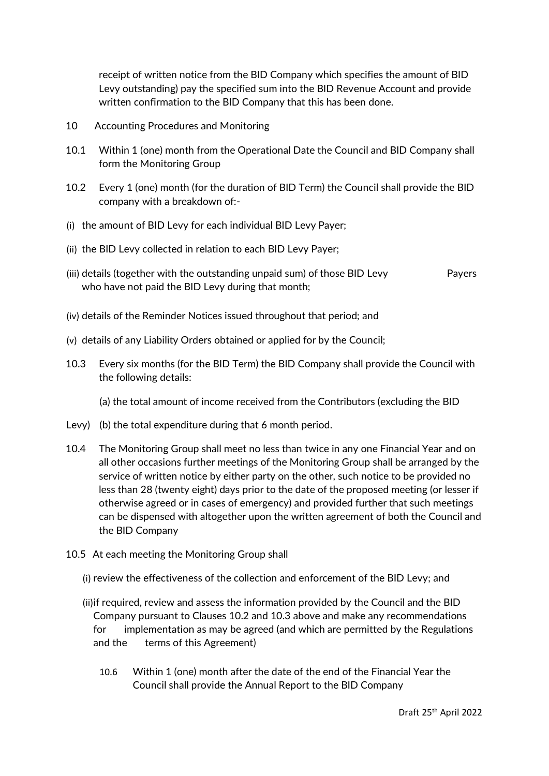receipt of written notice from the BID Company which specifies the amount of BID Levy outstanding) pay the specified sum into the BID Revenue Account and provide written confirmation to the BID Company that this has been done.

- 10 Accounting Procedures and Monitoring
- 10.1 Within 1 (one) month from the Operational Date the Council and BID Company shall form the Monitoring Group
- 10.2 Every 1 (one) month (for the duration of BID Term) the Council shall provide the BID company with a breakdown of:-
- (i) the amount of BID Levy for each individual BID Levy Payer;
- (ii) the BID Levy collected in relation to each BID Levy Payer;
- (iii) details (together with the outstanding unpaid sum) of those BID Levy Payers who have not paid the BID Levy during that month;
- (iv) details of the Reminder Notices issued throughout that period; and
- (v) details of any Liability Orders obtained or applied for by the Council;
- 10.3 Every six months (for the BID Term) the BID Company shall provide the Council with the following details:

(a) the total amount of income received from the Contributors (excluding the BID

- Levy) (b) the total expenditure during that 6 month period.
- 10.4 The Monitoring Group shall meet no less than twice in any one Financial Year and on all other occasions further meetings of the Monitoring Group shall be arranged by the service of written notice by either party on the other, such notice to be provided no less than 28 (twenty eight) days prior to the date of the proposed meeting (or lesser if otherwise agreed or in cases of emergency) and provided further that such meetings can be dispensed with altogether upon the written agreement of both the Council and the BID Company
- 10.5 At each meeting the Monitoring Group shall
	- (i) review the effectiveness of the collection and enforcement of the BID Levy; and
	- (ii)if required, review and assess the information provided by the Council and the BID Company pursuant to Clauses 10.2 and 10.3 above and make any recommendations for implementation as may be agreed (and which are permitted by the Regulations and the terms of this Agreement)
		- 10.6 Within 1 (one) month after the date of the end of the Financial Year the Council shall provide the Annual Report to the BID Company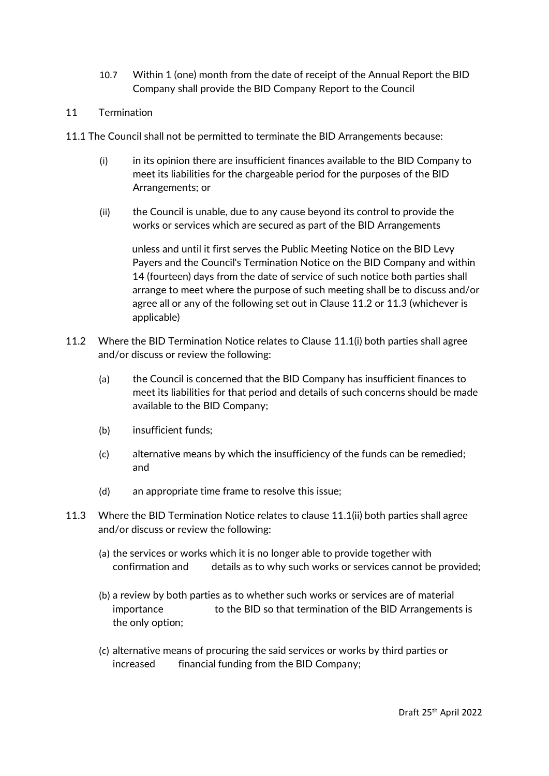- 10.7 Within 1 (one) month from the date of receipt of the Annual Report the BID Company shall provide the BID Company Report to the Council
- 11 Termination
- 11.1 The Council shall not be permitted to terminate the BID Arrangements because:
	- (i) in its opinion there are insufficient finances available to the BID Company to meet its liabilities for the chargeable period for the purposes of the BID Arrangements; or
	- (ii) the Council is unable, due to any cause beyond its control to provide the works or services which are secured as part of the BID Arrangements

unless and until it first serves the Public Meeting Notice on the BID Levy Payers and the Council's Termination Notice on the BID Company and within 14 (fourteen) days from the date of service of such notice both parties shall arrange to meet where the purpose of such meeting shall be to discuss and/or agree all or any of the following set out in Clause 11.2 or 11.3 (whichever is applicable)

- 11.2 Where the BID Termination Notice relates to Clause 11.1(i) both parties shall agree and/or discuss or review the following:
	- (a) the Council is concerned that the BID Company has insufficient finances to meet its liabilities for that period and details of such concerns should be made available to the BID Company;
	- (b) insufficient funds;
	- (c) alternative means by which the insufficiency of the funds can be remedied; and
	- (d) an appropriate time frame to resolve this issue;
- 11.3 Where the BID Termination Notice relates to clause 11.1(ii) both parties shall agree and/or discuss or review the following:
	- (a) the services or works which it is no longer able to provide together with confirmation and details as to why such works or services cannot be provided;
	- (b) a review by both parties as to whether such works or services are of material importance to the BID so that termination of the BID Arrangements is the only option;
	- (c) alternative means of procuring the said services or works by third parties or increased financial funding from the BID Company;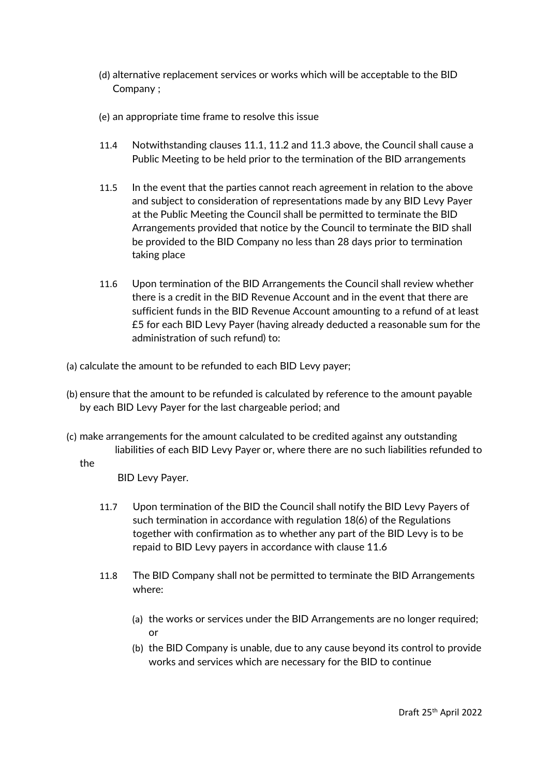- (d) alternative replacement services or works which will be acceptable to the BID Company ;
- (e) an appropriate time frame to resolve this issue
- 11.4 Notwithstanding clauses 11.1, 11.2 and 11.3 above, the Council shall cause a Public Meeting to be held prior to the termination of the BID arrangements
- 11.5 In the event that the parties cannot reach agreement in relation to the above and subject to consideration of representations made by any BID Levy Payer at the Public Meeting the Council shall be permitted to terminate the BID Arrangements provided that notice by the Council to terminate the BID shall be provided to the BID Company no less than 28 days prior to termination taking place
- 11.6 Upon termination of the BID Arrangements the Council shall review whether there is a credit in the BID Revenue Account and in the event that there are sufficient funds in the BID Revenue Account amounting to a refund of at least £5 for each BID Levy Payer (having already deducted a reasonable sum for the administration of such refund) to:
- (a) calculate the amount to be refunded to each BID Levy payer;
- (b) ensure that the amount to be refunded is calculated by reference to the amount payable by each BID Levy Payer for the last chargeable period; and
- (c) make arrangements for the amount calculated to be credited against any outstanding liabilities of each BID Levy Payer or, where there are no such liabilities refunded to

#### the

BID Levy Payer.

- 11.7 Upon termination of the BID the Council shall notify the BID Levy Payers of such termination in accordance with regulation 18(6) of the Regulations together with confirmation as to whether any part of the BID Levy is to be repaid to BID Levy payers in accordance with clause 11.6
- 11.8 The BID Company shall not be permitted to terminate the BID Arrangements where:
	- (a) the works or services under the BID Arrangements are no longer required; or
	- (b) the BID Company is unable, due to any cause beyond its control to provide works and services which are necessary for the BID to continue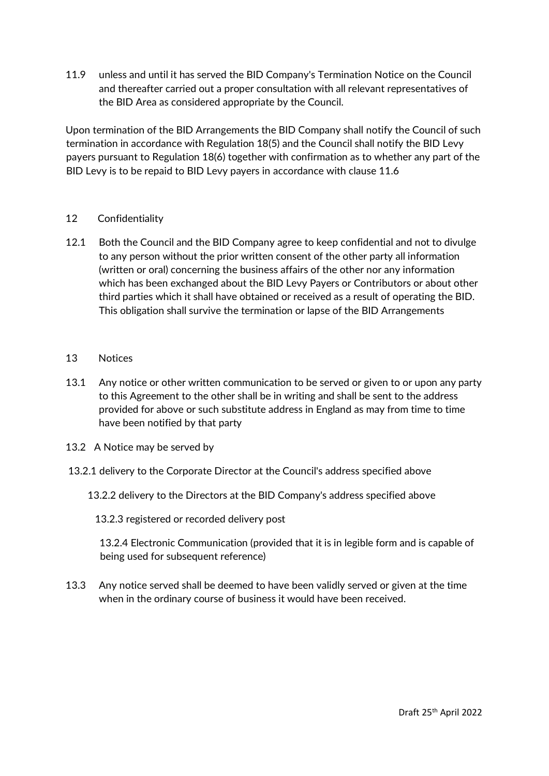11.9 unless and until it has served the BID Company's Termination Notice on the Council and thereafter carried out a proper consultation with all relevant representatives of the BID Area as considered appropriate by the Council.

Upon termination of the BID Arrangements the BID Company shall notify the Council of such termination in accordance with Regulation 18(5) and the Council shall notify the BID Levy payers pursuant to Regulation 18(6) together with confirmation as to whether any part of the BID Levy is to be repaid to BID Levy payers in accordance with clause 11.6

## 12 Confidentiality

- 12.1 Both the Council and the BID Company agree to keep confidential and not to divulge to any person without the prior written consent of the other party all information (written or oral) concerning the business affairs of the other nor any information which has been exchanged about the BID Levy Payers or Contributors or about other third parties which it shall have obtained or received as a result of operating the BID. This obligation shall survive the termination or lapse of the BID Arrangements
- 13 Notices
- 13.1 Any notice or other written communication to be served or given to or upon any party to this Agreement to the other shall be in writing and shall be sent to the address provided for above or such substitute address in England as may from time to time have been notified by that party
- 13.2 A Notice may be served by
- 13.2.1 delivery to the Corporate Director at the Council's address specified above
	- 13.2.2 delivery to the Directors at the BID Company's address specified above

13.2.3 registered or recorded delivery post

13.2.4 Electronic Communication (provided that it is in legible form and is capable of being used for subsequent reference)

13.3 Any notice served shall be deemed to have been validly served or given at the time when in the ordinary course of business it would have been received.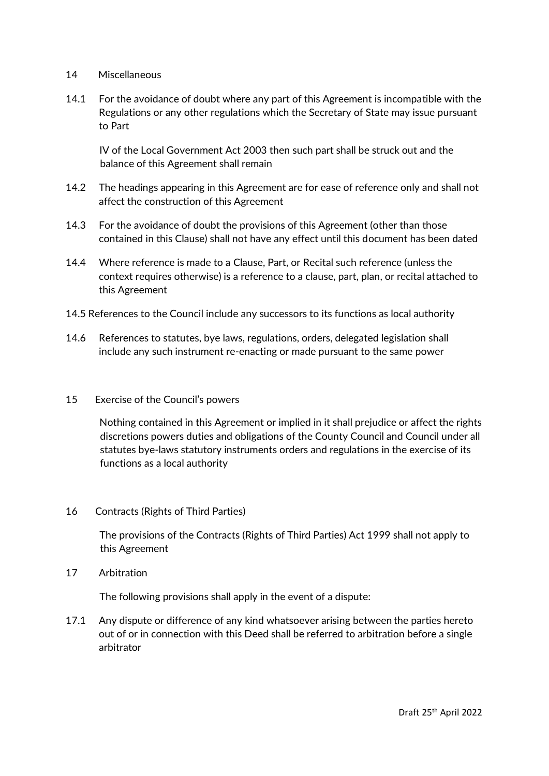#### 14 Miscellaneous

14.1 For the avoidance of doubt where any part of this Agreement is incompatible with the Regulations or any other regulations which the Secretary of State may issue pursuant to Part

IV of the Local Government Act 2003 then such part shall be struck out and the balance of this Agreement shall remain

- 14.2 The headings appearing in this Agreement are for ease of reference only and shall not affect the construction of this Agreement
- 14.3 For the avoidance of doubt the provisions of this Agreement (other than those contained in this Clause) shall not have any effect until this document has been dated
- 14.4 Where reference is made to a Clause, Part, or Recital such reference (unless the context requires otherwise) is a reference to a clause, part, plan, or recital attached to this Agreement
- 14.5 References to the Council include any successors to its functions as local authority
- 14.6 References to statutes, bye laws, regulations, orders, delegated legislation shall include any such instrument re-enacting or made pursuant to the same power
- 15 Exercise of the Council's powers

Nothing contained in this Agreement or implied in it shall prejudice or affect the rights discretions powers duties and obligations of the County Council and Council under all statutes bye-laws statutory instruments orders and regulations in the exercise of its functions as a local authority

16 Contracts (Rights of Third Parties)

The provisions of the Contracts (Rights of Third Parties) Act 1999 shall not apply to this Agreement

17 Arbitration

The following provisions shall apply in the event of a dispute:

17.1 Any dispute or difference of any kind whatsoever arising between the parties hereto out of or in connection with this Deed shall be referred to arbitration before a single arbitrator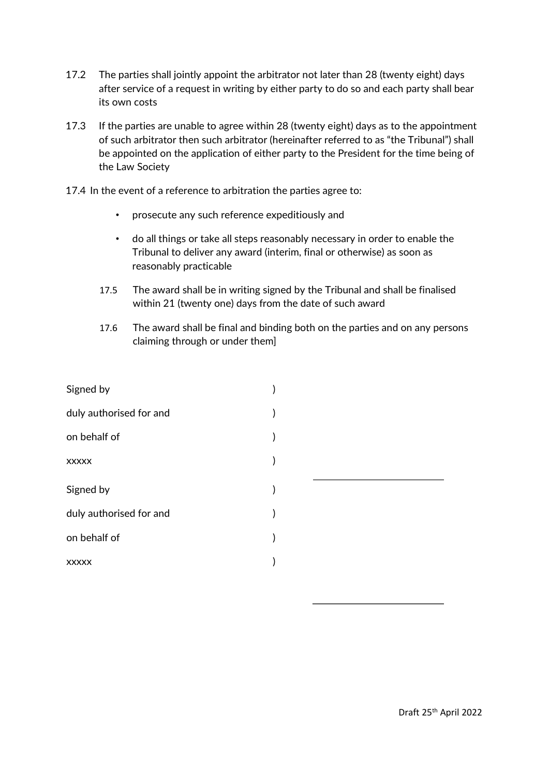- 17.2 The parties shall jointly appoint the arbitrator not later than 28 (twenty eight) days after service of a request in writing by either party to do so and each party shall bear its own costs
- 17.3 If the parties are unable to agree within 28 (twenty eight) days as to the appointment of such arbitrator then such arbitrator (hereinafter referred to as "the Tribunal") shall be appointed on the application of either party to the President for the time being of the Law Society
- 17.4 In the event of a reference to arbitration the parties agree to:
	- prosecute any such reference expeditiously and
	- do all things or take all steps reasonably necessary in order to enable the Tribunal to deliver any award (interim, final or otherwise) as soon as reasonably practicable
	- 17.5 The award shall be in writing signed by the Tribunal and shall be finalised within 21 (twenty one) days from the date of such award
	- 17.6 The award shall be final and binding both on the parties and on any persons claiming through or under them]

| Signed by               |  |
|-------------------------|--|
| duly authorised for and |  |
| on behalf of            |  |
| <b>XXXXX</b>            |  |
| Signed by               |  |
| duly authorised for and |  |
| on behalf of            |  |
|                         |  |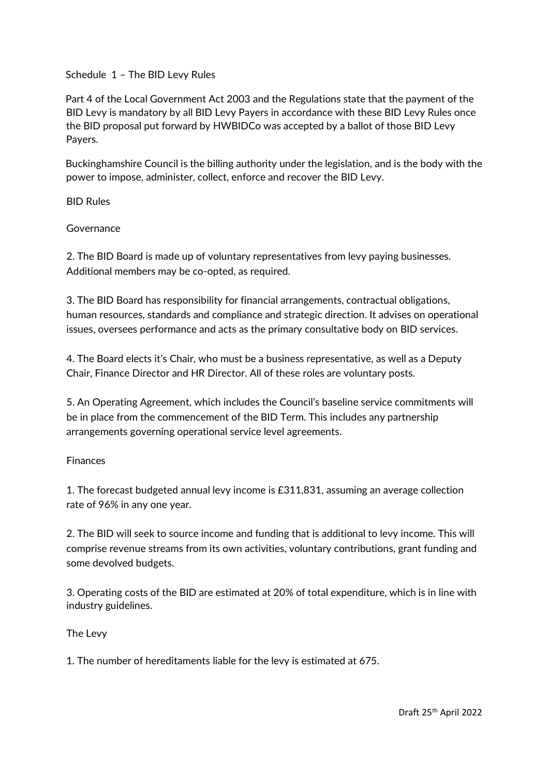## Schedule 1 – The BID Levy Rules

Part 4 of the Local Government Act 2003 and the Regulations state that the payment of the BID Levy is mandatory by all BID Levy Payers in accordance with these BID Levy Rules once the BID proposal put forward by HWBIDCo was accepted by a ballot of those BID Levy Payers.

Buckinghamshire Council is the billing authority under the legislation, and is the body with the power to impose, administer, collect, enforce and recover the BID Levy.

BID Rules

Governance

2. The BID Board is made up of voluntary representatives from levy paying businesses. Additional members may be co-opted, as required.

3. The BID Board has responsibility for financial arrangements, contractual obligations, human resources, standards and compliance and strategic direction. It advises on operational issues, oversees performance and acts as the primary consultative body on BID services.

4. The Board elects it's Chair, who must be a business representative, as well as a Deputy Chair, Finance Director and HR Director. All of these roles are voluntary posts.

5. An Operating Agreement, which includes the Council's baseline service commitments will be in place from the commencement of the BID Term. This includes any partnership arrangements governing operational service level agreements.

# Finances

1. The forecast budgeted annual levy income is £311,831, assuming an average collection rate of 96% in any one year.

2. The BID will seek to source income and funding that is additional to levy income. This will comprise revenue streams from its own activities, voluntary contributions, grant funding and some devolved budgets.

3. Operating costs of the BID are estimated at 20% of total expenditure, which is in line with industry guidelines.

The Levy

1. The number of hereditaments liable for the levy is estimated at 675.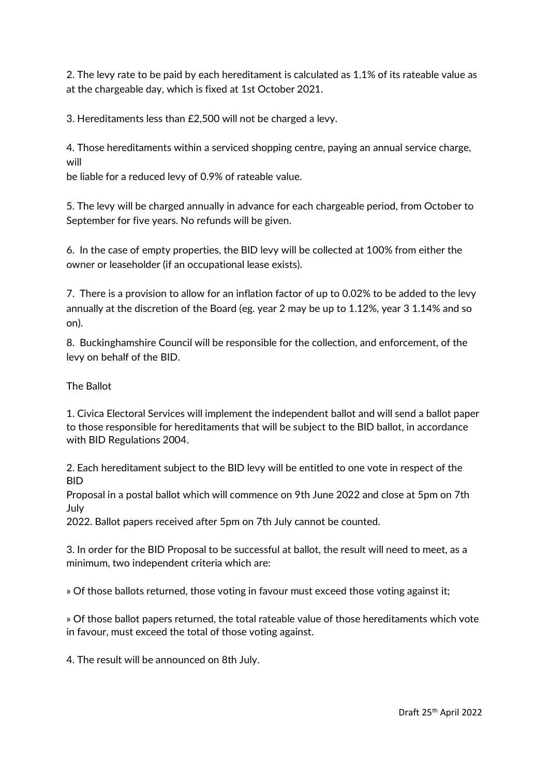2. The levy rate to be paid by each hereditament is calculated as 1.1% of its rateable value as at the chargeable day, which is fixed at 1st October 2021.

3. Hereditaments less than £2,500 will not be charged a levy.

4. Those hereditaments within a serviced shopping centre, paying an annual service charge, will

be liable for a reduced levy of 0.9% of rateable value.

5. The levy will be charged annually in advance for each chargeable period, from October to September for five years. No refunds will be given.

6. In the case of empty properties, the BID levy will be collected at 100% from either the owner or leaseholder (if an occupational lease exists).

7. There is a provision to allow for an inflation factor of up to 0.02% to be added to the levy annually at the discretion of the Board (eg. year 2 may be up to 1.12%, year 3 1.14% and so on).

8. Buckinghamshire Council will be responsible for the collection, and enforcement, of the levy on behalf of the BID.

#### The Ballot

1. Civica Electoral Services will implement the independent ballot and will send a ballot paper to those responsible for hereditaments that will be subject to the BID ballot, in accordance with BID Regulations 2004.

2. Each hereditament subject to the BID levy will be entitled to one vote in respect of the **BID** 

Proposal in a postal ballot which will commence on 9th June 2022 and close at 5pm on 7th July

2022. Ballot papers received after 5pm on 7th July cannot be counted.

3. In order for the BID Proposal to be successful at ballot, the result will need to meet, as a minimum, two independent criteria which are:

» Of those ballots returned, those voting in favour must exceed those voting against it;

» Of those ballot papers returned, the total rateable value of those hereditaments which vote in favour, must exceed the total of those voting against.

4. The result will be announced on 8th July.